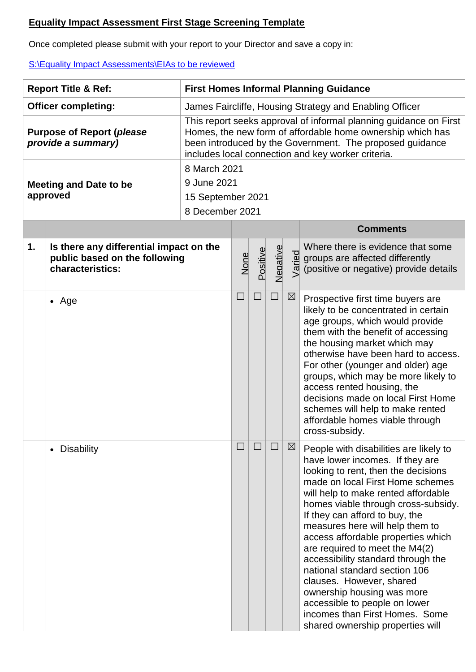## **Equality Impact Assessment First Stage Screening Template**

Once completed please submit with your report to your Director and save a copy in:

[S:\Equality Impact Assessments\EIAs to be reviewed](file:///S:/Equality%20Impact%20Assessments/EIAs%20to%20be%20reviewed)

| <b>Report Title &amp; Ref:</b>                         |                                                                                              | <b>First Homes Informal Planning Guidance</b>                                                                                                                                                                                                     |        |          |          |             |                                                                                                                                                                                                                                                                                                                                                                                                                                                                                                                                                                                                                         |  |  |  |
|--------------------------------------------------------|----------------------------------------------------------------------------------------------|---------------------------------------------------------------------------------------------------------------------------------------------------------------------------------------------------------------------------------------------------|--------|----------|----------|-------------|-------------------------------------------------------------------------------------------------------------------------------------------------------------------------------------------------------------------------------------------------------------------------------------------------------------------------------------------------------------------------------------------------------------------------------------------------------------------------------------------------------------------------------------------------------------------------------------------------------------------------|--|--|--|
| <b>Officer completing:</b>                             |                                                                                              | James Faircliffe, Housing Strategy and Enabling Officer                                                                                                                                                                                           |        |          |          |             |                                                                                                                                                                                                                                                                                                                                                                                                                                                                                                                                                                                                                         |  |  |  |
| <b>Purpose of Report (please</b><br>provide a summary) |                                                                                              | This report seeks approval of informal planning guidance on First<br>Homes, the new form of affordable home ownership which has<br>been introduced by the Government. The proposed guidance<br>includes local connection and key worker criteria. |        |          |          |             |                                                                                                                                                                                                                                                                                                                                                                                                                                                                                                                                                                                                                         |  |  |  |
|                                                        |                                                                                              | 8 March 2021                                                                                                                                                                                                                                      |        |          |          |             |                                                                                                                                                                                                                                                                                                                                                                                                                                                                                                                                                                                                                         |  |  |  |
|                                                        | <b>Meeting and Date to be</b>                                                                | 9 June 2021                                                                                                                                                                                                                                       |        |          |          |             |                                                                                                                                                                                                                                                                                                                                                                                                                                                                                                                                                                                                                         |  |  |  |
|                                                        | approved                                                                                     | 15 September 2021                                                                                                                                                                                                                                 |        |          |          |             |                                                                                                                                                                                                                                                                                                                                                                                                                                                                                                                                                                                                                         |  |  |  |
|                                                        |                                                                                              | 8 December 2021                                                                                                                                                                                                                                   |        |          |          |             |                                                                                                                                                                                                                                                                                                                                                                                                                                                                                                                                                                                                                         |  |  |  |
|                                                        |                                                                                              |                                                                                                                                                                                                                                                   |        |          |          |             | <b>Comments</b>                                                                                                                                                                                                                                                                                                                                                                                                                                                                                                                                                                                                         |  |  |  |
| $\mathbf 1$ .                                          | Is there any differential impact on the<br>public based on the following<br>characteristics: |                                                                                                                                                                                                                                                   | None   | Positive | Negative |             | Where there is evidence that some<br>groups are affected differently<br>groups are affected differently<br>groups are affected differently<br>(positive or negative) provide details                                                                                                                                                                                                                                                                                                                                                                                                                                    |  |  |  |
|                                                        | $\bullet$ Age                                                                                |                                                                                                                                                                                                                                                   | $\Box$ | $\Box$   | $\Box$   | $\boxtimes$ | Prospective first time buyers are<br>likely to be concentrated in certain<br>age groups, which would provide<br>them with the benefit of accessing<br>the housing market which may<br>otherwise have been hard to access.<br>For other (younger and older) age<br>groups, which may be more likely to<br>access rented housing, the<br>decisions made on local First Home<br>schemes will help to make rented<br>affordable homes viable through<br>cross-subsidy.                                                                                                                                                      |  |  |  |
|                                                        | • Disability                                                                                 |                                                                                                                                                                                                                                                   |        |          |          | $\boxtimes$ | People with disabilities are likely to<br>have lower incomes. If they are<br>looking to rent, then the decisions<br>made on local First Home schemes<br>will help to make rented affordable<br>homes viable through cross-subsidy.<br>If they can afford to buy, the<br>measures here will help them to<br>access affordable properties which<br>are required to meet the M4(2)<br>accessibility standard through the<br>national standard section 106<br>clauses. However, shared<br>ownership housing was more<br>accessible to people on lower<br>incomes than First Homes. Some<br>shared ownership properties will |  |  |  |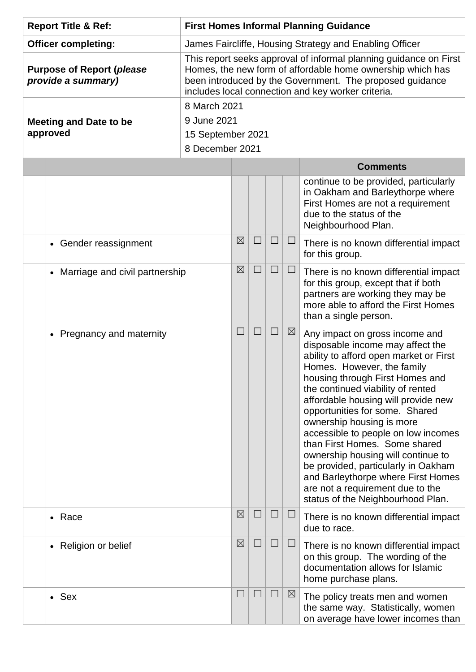| <b>Report Title &amp; Ref:</b>                         |                                | <b>First Homes Informal Planning Guidance</b>                                                                                                                                                                                                     |                   |        |        |             |                                                                                                                                                                                                                                                                                                                                                                                                                                                                                                                                                                                              |  |  |  |  |
|--------------------------------------------------------|--------------------------------|---------------------------------------------------------------------------------------------------------------------------------------------------------------------------------------------------------------------------------------------------|-------------------|--------|--------|-------------|----------------------------------------------------------------------------------------------------------------------------------------------------------------------------------------------------------------------------------------------------------------------------------------------------------------------------------------------------------------------------------------------------------------------------------------------------------------------------------------------------------------------------------------------------------------------------------------------|--|--|--|--|
| <b>Officer completing:</b>                             |                                | James Faircliffe, Housing Strategy and Enabling Officer                                                                                                                                                                                           |                   |        |        |             |                                                                                                                                                                                                                                                                                                                                                                                                                                                                                                                                                                                              |  |  |  |  |
| <b>Purpose of Report (please</b><br>provide a summary) |                                | This report seeks approval of informal planning guidance on First<br>Homes, the new form of affordable home ownership which has<br>been introduced by the Government. The proposed guidance<br>includes local connection and key worker criteria. |                   |        |        |             |                                                                                                                                                                                                                                                                                                                                                                                                                                                                                                                                                                                              |  |  |  |  |
|                                                        |                                | 8 March 2021                                                                                                                                                                                                                                      |                   |        |        |             |                                                                                                                                                                                                                                                                                                                                                                                                                                                                                                                                                                                              |  |  |  |  |
|                                                        | <b>Meeting and Date to be</b>  | 9 June 2021                                                                                                                                                                                                                                       |                   |        |        |             |                                                                                                                                                                                                                                                                                                                                                                                                                                                                                                                                                                                              |  |  |  |  |
|                                                        | approved                       |                                                                                                                                                                                                                                                   | 15 September 2021 |        |        |             |                                                                                                                                                                                                                                                                                                                                                                                                                                                                                                                                                                                              |  |  |  |  |
|                                                        |                                | 8 December 2021                                                                                                                                                                                                                                   |                   |        |        |             |                                                                                                                                                                                                                                                                                                                                                                                                                                                                                                                                                                                              |  |  |  |  |
|                                                        |                                |                                                                                                                                                                                                                                                   |                   |        |        |             | <b>Comments</b>                                                                                                                                                                                                                                                                                                                                                                                                                                                                                                                                                                              |  |  |  |  |
|                                                        |                                |                                                                                                                                                                                                                                                   |                   |        |        |             | continue to be provided, particularly<br>in Oakham and Barleythorpe where<br>First Homes are not a requirement<br>due to the status of the<br>Neighbourhood Plan.                                                                                                                                                                                                                                                                                                                                                                                                                            |  |  |  |  |
|                                                        | • Gender reassignment          |                                                                                                                                                                                                                                                   | $\boxtimes$       |        |        | $\Box$      | There is no known differential impact<br>for this group.                                                                                                                                                                                                                                                                                                                                                                                                                                                                                                                                     |  |  |  |  |
|                                                        | Marriage and civil partnership |                                                                                                                                                                                                                                                   | $\boxtimes$       |        |        | $\Box$      | There is no known differential impact<br>for this group, except that if both<br>partners are working they may be<br>more able to afford the First Homes<br>than a single person.                                                                                                                                                                                                                                                                                                                                                                                                             |  |  |  |  |
|                                                        | • Pregnancy and maternity      |                                                                                                                                                                                                                                                   | $\Box$            | $\Box$ | $\Box$ | $\boxtimes$ | Any impact on gross income and<br>disposable income may affect the<br>ability to afford open market or First<br>Homes. However, the family<br>housing through First Homes and<br>the continued viability of rented<br>affordable housing will provide new<br>opportunities for some. Shared<br>ownership housing is more<br>accessible to people on low incomes<br>than First Homes. Some shared<br>ownership housing will continue to<br>be provided, particularly in Oakham<br>and Barleythorpe where First Homes<br>are not a requirement due to the<br>status of the Neighbourhood Plan. |  |  |  |  |
|                                                        | • Race                         |                                                                                                                                                                                                                                                   | $\boxtimes$       |        | $\Box$ | $\Box$      | There is no known differential impact<br>due to race.                                                                                                                                                                                                                                                                                                                                                                                                                                                                                                                                        |  |  |  |  |
|                                                        | • Religion or belief           |                                                                                                                                                                                                                                                   | $\boxtimes$       |        | $\Box$ | $\Box$      | There is no known differential impact<br>on this group. The wording of the<br>documentation allows for Islamic<br>home purchase plans.                                                                                                                                                                                                                                                                                                                                                                                                                                                       |  |  |  |  |
|                                                        | • Sex                          |                                                                                                                                                                                                                                                   | $\Box$            | $\Box$ | $\Box$ | ⊠           | The policy treats men and women<br>the same way. Statistically, women<br>on average have lower incomes than                                                                                                                                                                                                                                                                                                                                                                                                                                                                                  |  |  |  |  |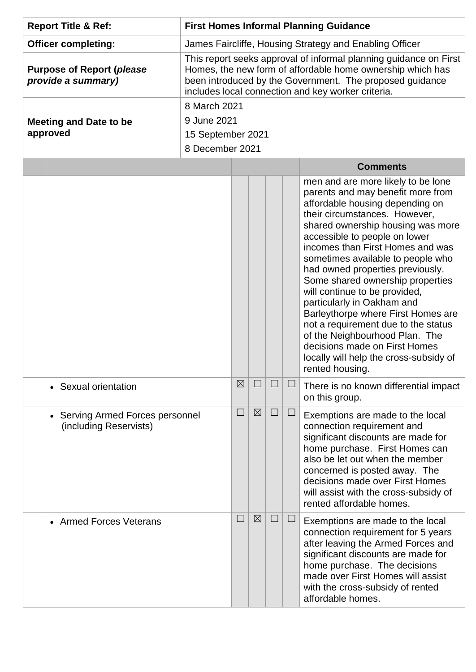| <b>Report Title &amp; Ref:</b>                         |                                                                       | <b>First Homes Informal Planning Guidance</b>                                                                                                                                                                                                     |                 |             |  |        |                                                                                                                                                                                                                                                                                                                                                                                                                                                                                                                                                                                                                                                |  |  |  |
|--------------------------------------------------------|-----------------------------------------------------------------------|---------------------------------------------------------------------------------------------------------------------------------------------------------------------------------------------------------------------------------------------------|-----------------|-------------|--|--------|------------------------------------------------------------------------------------------------------------------------------------------------------------------------------------------------------------------------------------------------------------------------------------------------------------------------------------------------------------------------------------------------------------------------------------------------------------------------------------------------------------------------------------------------------------------------------------------------------------------------------------------------|--|--|--|
| <b>Officer completing:</b>                             |                                                                       | James Faircliffe, Housing Strategy and Enabling Officer                                                                                                                                                                                           |                 |             |  |        |                                                                                                                                                                                                                                                                                                                                                                                                                                                                                                                                                                                                                                                |  |  |  |
| <b>Purpose of Report (please</b><br>provide a summary) |                                                                       | This report seeks approval of informal planning guidance on First<br>Homes, the new form of affordable home ownership which has<br>been introduced by the Government. The proposed guidance<br>includes local connection and key worker criteria. |                 |             |  |        |                                                                                                                                                                                                                                                                                                                                                                                                                                                                                                                                                                                                                                                |  |  |  |
|                                                        |                                                                       | 8 March 2021                                                                                                                                                                                                                                      |                 |             |  |        |                                                                                                                                                                                                                                                                                                                                                                                                                                                                                                                                                                                                                                                |  |  |  |
|                                                        | <b>Meeting and Date to be</b>                                         | 9 June 2021                                                                                                                                                                                                                                       |                 |             |  |        |                                                                                                                                                                                                                                                                                                                                                                                                                                                                                                                                                                                                                                                |  |  |  |
| approved                                               |                                                                       | 15 September 2021                                                                                                                                                                                                                                 |                 |             |  |        |                                                                                                                                                                                                                                                                                                                                                                                                                                                                                                                                                                                                                                                |  |  |  |
|                                                        |                                                                       |                                                                                                                                                                                                                                                   | 8 December 2021 |             |  |        |                                                                                                                                                                                                                                                                                                                                                                                                                                                                                                                                                                                                                                                |  |  |  |
|                                                        |                                                                       |                                                                                                                                                                                                                                                   |                 |             |  |        | <b>Comments</b>                                                                                                                                                                                                                                                                                                                                                                                                                                                                                                                                                                                                                                |  |  |  |
|                                                        |                                                                       |                                                                                                                                                                                                                                                   |                 |             |  |        | men and are more likely to be lone<br>parents and may benefit more from<br>affordable housing depending on<br>their circumstances. However,<br>shared ownership housing was more<br>accessible to people on lower<br>incomes than First Homes and was<br>sometimes available to people who<br>had owned properties previously.<br>Some shared ownership properties<br>will continue to be provided,<br>particularly in Oakham and<br>Barleythorpe where First Homes are<br>not a requirement due to the status<br>of the Neighbourhood Plan. The<br>decisions made on First Homes<br>locally will help the cross-subsidy of<br>rented housing. |  |  |  |
|                                                        | • Sexual orientation                                                  |                                                                                                                                                                                                                                                   | $\boxtimes$     |             |  |        | There is no known differential impact<br>on this group.                                                                                                                                                                                                                                                                                                                                                                                                                                                                                                                                                                                        |  |  |  |
|                                                        | Serving Armed Forces personnel<br>$\bullet$<br>(including Reservists) |                                                                                                                                                                                                                                                   | $\Box$          | $\boxtimes$ |  | ⊔      | Exemptions are made to the local<br>connection requirement and<br>significant discounts are made for<br>home purchase. First Homes can<br>also be let out when the member<br>concerned is posted away. The<br>decisions made over First Homes<br>will assist with the cross-subsidy of<br>rented affordable homes.                                                                                                                                                                                                                                                                                                                             |  |  |  |
|                                                        | • Armed Forces Veterans                                               |                                                                                                                                                                                                                                                   | ⊔               | $\boxtimes$ |  | $\Box$ | Exemptions are made to the local<br>connection requirement for 5 years<br>after leaving the Armed Forces and<br>significant discounts are made for<br>home purchase. The decisions<br>made over First Homes will assist<br>with the cross-subsidy of rented<br>affordable homes.                                                                                                                                                                                                                                                                                                                                                               |  |  |  |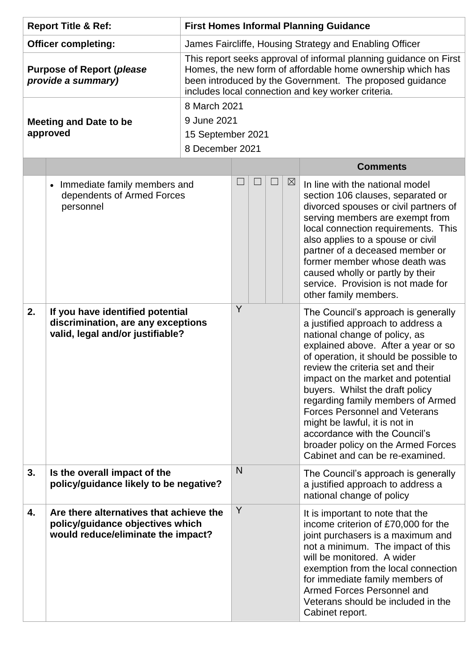| <b>Report Title &amp; Ref:</b>                         |                                                                                                                   | <b>First Homes Informal Planning Guidance</b>                                                                                                                                                                                                     |   |   |  |             |                                                                                                                                                                                                                                                                                                                                                                                                                                                                                                                                  |  |  |
|--------------------------------------------------------|-------------------------------------------------------------------------------------------------------------------|---------------------------------------------------------------------------------------------------------------------------------------------------------------------------------------------------------------------------------------------------|---|---|--|-------------|----------------------------------------------------------------------------------------------------------------------------------------------------------------------------------------------------------------------------------------------------------------------------------------------------------------------------------------------------------------------------------------------------------------------------------------------------------------------------------------------------------------------------------|--|--|
| <b>Officer completing:</b>                             |                                                                                                                   | James Faircliffe, Housing Strategy and Enabling Officer                                                                                                                                                                                           |   |   |  |             |                                                                                                                                                                                                                                                                                                                                                                                                                                                                                                                                  |  |  |
| <b>Purpose of Report (please</b><br>provide a summary) |                                                                                                                   | This report seeks approval of informal planning guidance on First<br>Homes, the new form of affordable home ownership which has<br>been introduced by the Government. The proposed guidance<br>includes local connection and key worker criteria. |   |   |  |             |                                                                                                                                                                                                                                                                                                                                                                                                                                                                                                                                  |  |  |
| <b>Meeting and Date to be</b><br>approved              |                                                                                                                   | 8 March 2021<br>9 June 2021<br>15 September 2021<br>8 December 2021                                                                                                                                                                               |   |   |  |             |                                                                                                                                                                                                                                                                                                                                                                                                                                                                                                                                  |  |  |
|                                                        |                                                                                                                   |                                                                                                                                                                                                                                                   |   |   |  |             | <b>Comments</b>                                                                                                                                                                                                                                                                                                                                                                                                                                                                                                                  |  |  |
|                                                        | Immediate family members and<br>dependents of Armed Forces<br>personnel                                           |                                                                                                                                                                                                                                                   |   |   |  | $\boxtimes$ | In line with the national model<br>section 106 clauses, separated or<br>divorced spouses or civil partners of<br>serving members are exempt from<br>local connection requirements. This<br>also applies to a spouse or civil<br>partner of a deceased member or<br>former member whose death was<br>caused wholly or partly by their<br>service. Provision is not made for<br>other family members.                                                                                                                              |  |  |
| 2.                                                     | If you have identified potential<br>discrimination, are any exceptions<br>valid, legal and/or justifiable?        |                                                                                                                                                                                                                                                   |   | Y |  |             | The Council's approach is generally<br>a justified approach to address a<br>national change of policy, as<br>explained above. After a year or so<br>of operation, it should be possible to<br>review the criteria set and their<br>impact on the market and potential<br>buyers. Whilst the draft policy<br>regarding family members of Armed<br><b>Forces Personnel and Veterans</b><br>might be lawful, it is not in<br>accordance with the Council's<br>broader policy on the Armed Forces<br>Cabinet and can be re-examined. |  |  |
| 3.                                                     | Is the overall impact of the                                                                                      | policy/guidance likely to be negative?                                                                                                                                                                                                            |   | N |  |             | The Council's approach is generally<br>a justified approach to address a<br>national change of policy                                                                                                                                                                                                                                                                                                                                                                                                                            |  |  |
| 4.                                                     | Are there alternatives that achieve the<br>policy/guidance objectives which<br>would reduce/eliminate the impact? |                                                                                                                                                                                                                                                   | Y |   |  |             | It is important to note that the<br>income criterion of £70,000 for the<br>joint purchasers is a maximum and<br>not a minimum. The impact of this<br>will be monitored. A wider<br>exemption from the local connection<br>for immediate family members of<br>Armed Forces Personnel and<br>Veterans should be included in the<br>Cabinet report.                                                                                                                                                                                 |  |  |